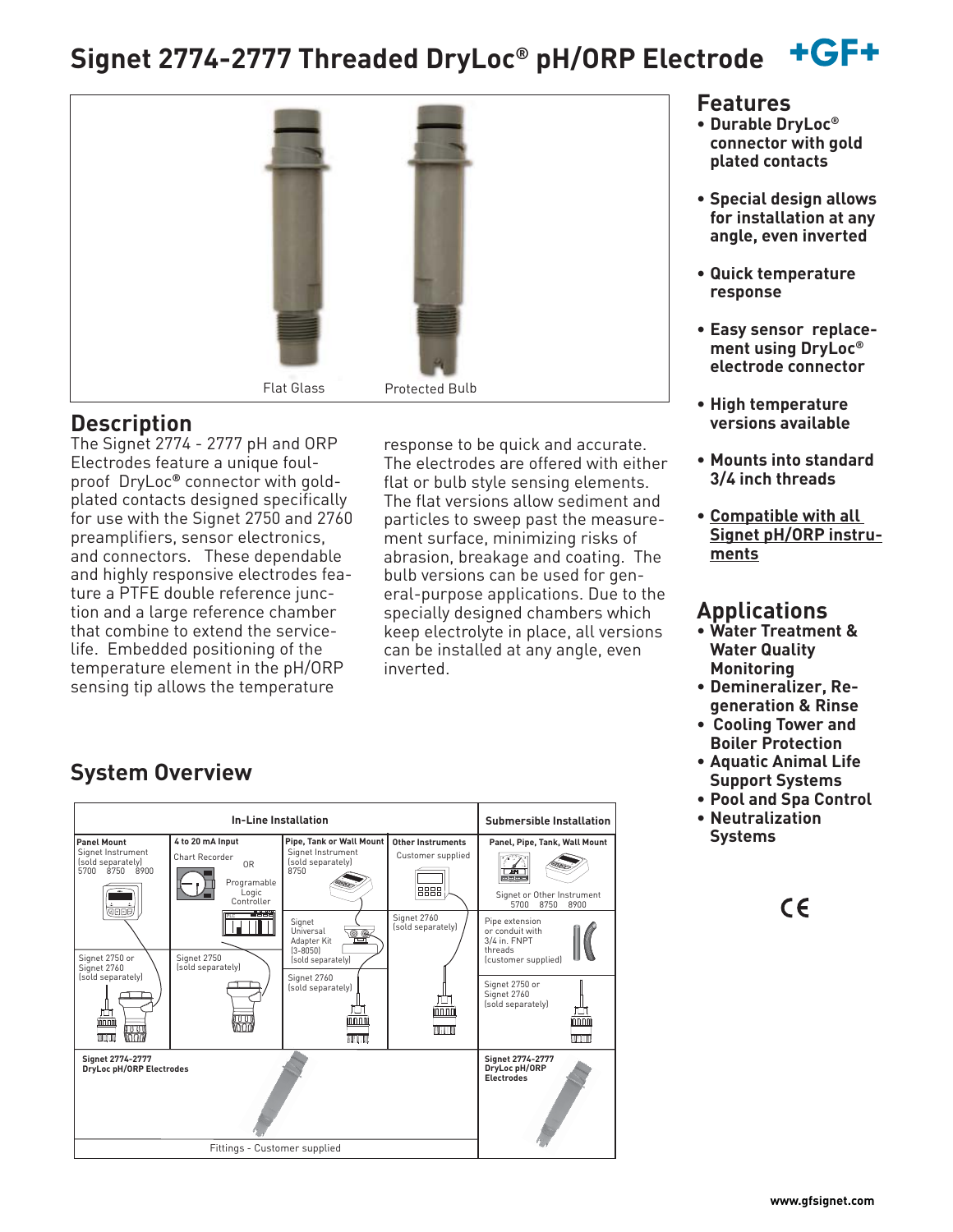#### $+GF+$ **Signet 2774-2777 Threaded DryLoc® pH/ORP Electrode**



### **Description**

The Signet 2774 - 2777 pH and ORP Electrodes feature a unique foulproof DryLoc**®** connector with goldplated contacts designed specifically for use with the Signet 2750 and 2760 preamplifiers, sensor electronics, and connectors. These dependable and highly responsive electrodes feature a PTFE double reference junction and a large reference chamber that combine to extend the servicelife. Embedded positioning of the temperature element in the pH/ORP sensing tip allows the temperature

response to be quick and accurate. The electrodes are offered with either flat or bulb style sensing elements. The flat versions allow sediment and particles to sweep past the measurement surface, minimizing risks of abrasion, breakage and coating. The bulb versions can be used for general-purpose applications. Due to the specially designed chambers which keep electrolyte in place, all versions can be installed at any angle, even inverted.

#### **Features**

- **Durable DryLoc® connector with gold plated contacts**
- **Special design allows for installation at any angle, even inverted**
- **Quick temperature response**
- **Easy sensor replacement using DryLoc® electrode connector**
- **High temperature versions available**
- **Mounts into standard 3/4 inch threads**
- **Compatible with all Signet pH/ORP instruments**

### **Applications**

- **Water Treatment & Water Quality Monitoring**
- **Demineralizer, Regeneration & Rinse**
- **Cooling Tower and Boiler Protection**
- **Aquatic Animal Life Support Systems**
- **Pool and Spa Control**
- **Neutralization Systems**



## **System Overview**

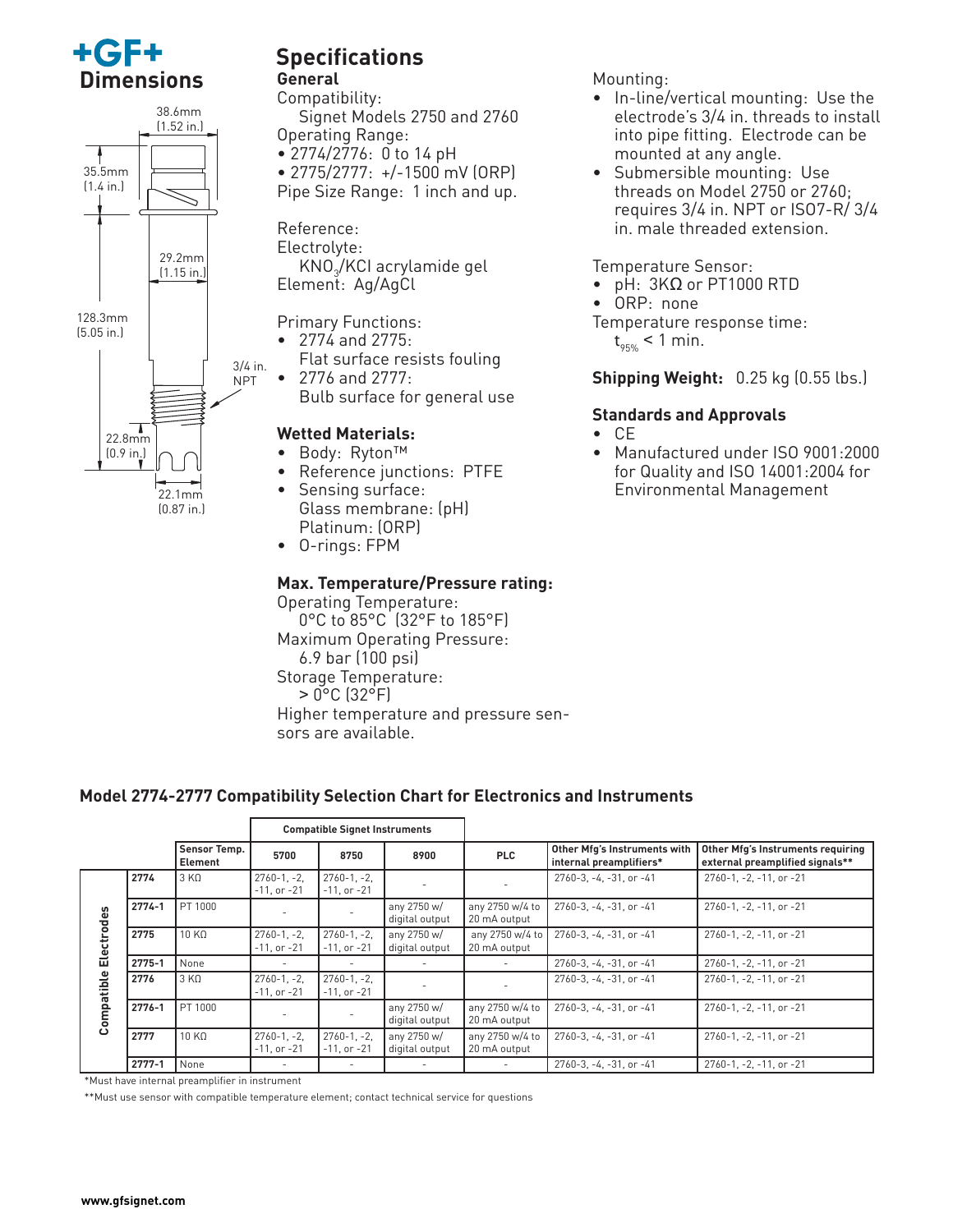



# **Specifications**

### **General**

Compatibility: Signet Models 2750 and 2760 Operating Range:

• 2774/2776: 0 to 14 pH

- 2775/2777: +/-1500 mV (ORP)
- Pipe Size Range: 1 inch and up.

Reference: Electrolyte: KNO<sub>3</sub>/KCI acrylamide gel Element: Ag/AgCl

Primary Functions:

- 2774 and 2775: Flat surface resists fouling
- 2776 and 2777: Bulb surface for general use

#### **Wetted Materials:**

- Body: Ryton™
- Reference junctions: PTFE
- Sensing surface: Glass membrane: (pH) Platinum: (ORP)
- O-rings: FPM

#### **Max. Temperature/Pressure rating:**

Operating Temperature: 0°C to 85°C (32°F to 185°F) Maximum Operating Pressure: 6.9 bar (100 psi) Storage Temperature: > 0°C (32°F) Higher temperature and pressure sensors are available.

#### Mounting:

- In-line/vertical mounting: Use the electrode's 3/4 in. threads to install into pipe fitting. Electrode can be mounted at any angle.
- Submersible mounting: Use threads on Model 2750 or 2760; requires 3/4 in. NPT or ISO7-R/ 3/4 in. male threaded extension.

#### Temperature Sensor:

- $pH: 3KΩ$  or PT1000 RTD
- ORP: none
- Temperature response time:

t 95% < 1 min.

#### **Shipping Weight:** 0.25 kg (0.55 lbs.)

#### **Standards and Approvals**

- CE
- Manufactured under ISO 9001:2000 for Quality and ISO 14001:2004 for Environmental Management

#### **Model 2774-2777 Compatibility Selection Chart for Electronics and Instruments**

|            |            |                         | <b>Compatible Signet Instruments</b> |                                    |                               |                                 |                                                         |                                                                      |
|------------|------------|-------------------------|--------------------------------------|------------------------------------|-------------------------------|---------------------------------|---------------------------------------------------------|----------------------------------------------------------------------|
|            |            | Sensor Temp.<br>Element | 5700                                 | 8750                               | 8900                          | <b>PLC</b>                      | Other Mfg's Instruments with<br>internal preamplifiers* | Other Mfg's Instruments requiring<br>external preamplified signals** |
|            | 2774       | 3 K <sub>0</sub>        | $2760 - 1, -2,$<br>$-11$ , or $-21$  | $2760 - 1, -2$<br>$-11$ , or $-21$ |                               |                                 | 2760-3, -4, -31, or -41                                 | 2760-1, -2, -11, or -21                                              |
|            | $2774 - 1$ | PT 1000                 |                                      |                                    | any 2750 w/<br>digital output | any 2750 w/4 to<br>20 mA output | 2760-3, -4, -31, or -41                                 | 2760-1, -2, -11, or -21                                              |
| Electrodes | 2775       | 10 KO                   | $2760 - 1, -2,$<br>$-11$ , or $-21$  | $2760 - 1, -2$<br>$-11$ , or $-21$ | any 2750 w/<br>digital output | any 2750 w/4 to<br>20 mA output | $2760 - 3. - 4. - 31.$ or $-41$                         | 2760-1, -2, -11, or -21                                              |
|            | 2775-1     | None                    | $\overline{\phantom{a}}$             |                                    | $\overline{\phantom{a}}$      | $\overline{\phantom{a}}$        | $2760-3, -4, -31$ , or $-41$                            | 2760-1, -2, -11, or -21                                              |
|            | 2776       | 3 K <sub>0</sub>        | $2760 - 1, -2,$<br>$-11$ , or $-21$  | $2760 - 1, -2$<br>$-11$ , or $-21$ |                               |                                 | $2760-3, -4, -31$ , or $-41$                            | 2760-1, -2, -11, or -21                                              |
| Compatible | 2776-1     | PT 1000                 |                                      |                                    | any 2750 w/<br>digital output | any 2750 w/4 to<br>20 mA output | $2760-3, -4, -31$ , or $-41$                            | 2760-1, -2, -11, or -21                                              |
|            | 2777       | 10 K <sub>0</sub>       | $2760 - 1, -2,$<br>$-11$ , or $-21$  | $2760 - 1, -2$<br>$-11$ , or $-21$ | any 2750 w/<br>digital output | any 2750 w/4 to<br>20 mA output | $2760-3, -4, -31$ , or $-41$                            | 2760-1, -2, -11, or -21                                              |
|            | $2777 - 1$ | None                    | $\sim$                               | $\sim$                             | $\overline{\phantom{a}}$      | $\overline{\phantom{a}}$        | $2760-3, -4, -31$ , or $-41$                            | 2760-1, -2, -11, or -21                                              |

\*Must have internal preamplifier in instrument

\*\*Must use sensor with compatible temperature element; contact technical service for questions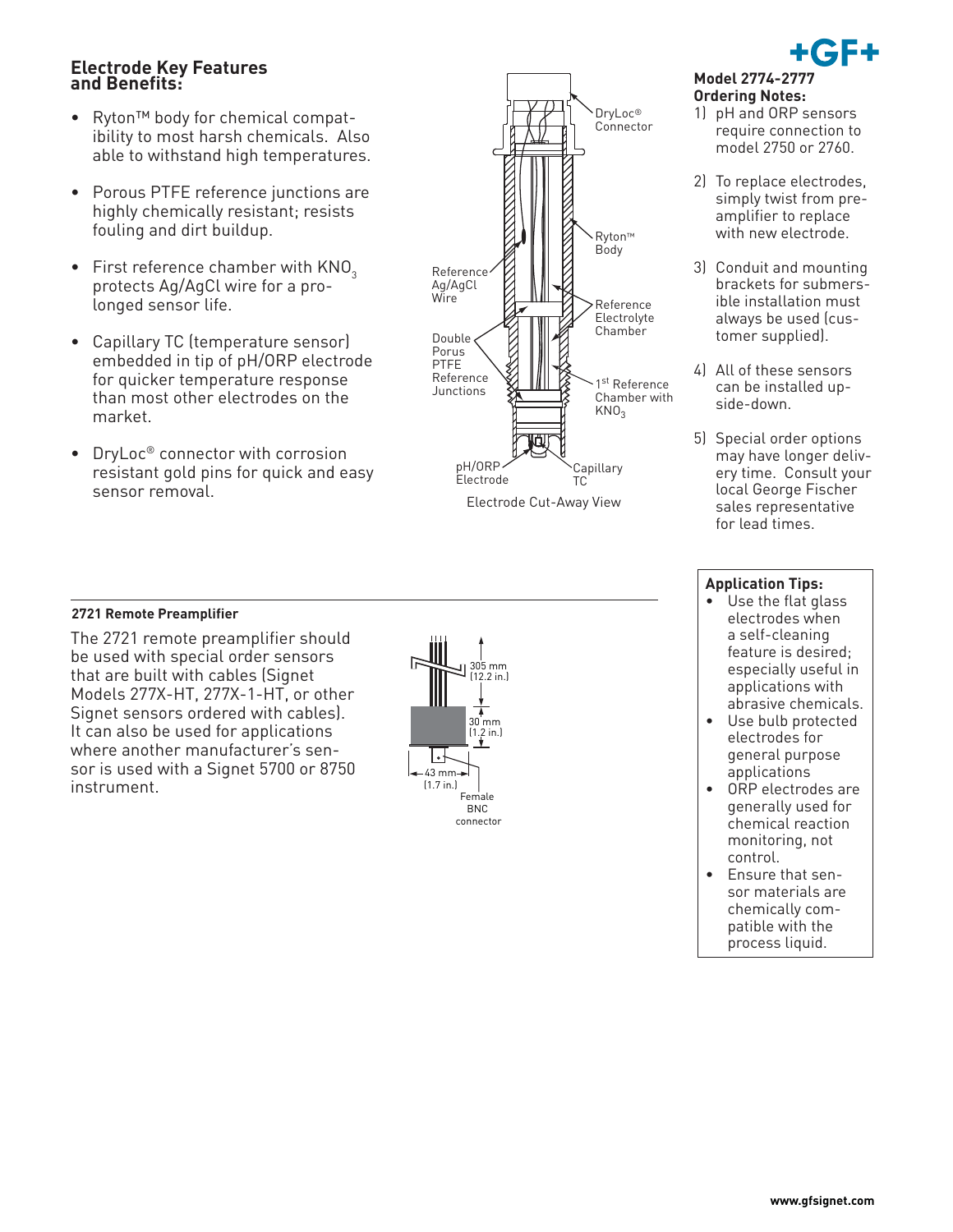#### **Electrode Key Features and Benefits:**

- Ryton™ body for chemical compatibility to most harsh chemicals. Also able to withstand high temperatures.
- Porous PTFE reference junctions are highly chemically resistant; resists fouling and dirt buildup.
- First reference chamber with  $KNO<sub>3</sub>$ protects Ag/AgCl wire for a prolonged sensor life.
- Capillary TC (temperature sensor) embedded in tip of pH/ORP electrode for quicker temperature response than most other electrodes on the market.
- DryLoc® connector with corrosion resistant gold pins for quick and easy





### **Ordering Notes:**

- 1) pH and ORP sensors require connection to model 2750 or 2760.
- 2) To replace electrodes, simply twist from preamplifier to replace with new electrode.
- 3) Conduit and mounting brackets for submersible installation must always be used (customer supplied).
- 4) All of these sensors can be installed upside-down.
- 5) Special order options may have longer delivery time. Consult your local George Fischer sales representative for lead times.

## **2721 Remote Preamplifier**

The 2721 remote preamplifier should be used with special order sensors that are built with cables (Signet Models 277X-HT, 277X-1-HT, or other Signet sensors ordered with cables). It can also be used for applications where another manufacturer's sensor is used with a Signet 5700 or 8750 instrument.



#### **Application Tips:**

- Use the flat glass electrodes when a self-cleaning feature is desired; especially useful in applications with abrasive chemicals.
- Use bulb protected electrodes for general purpose applications
- ORP electrodes are generally used for chemical reaction monitoring, not control.
- Ensure that sensor materials are chemically compatible with the process liquid.